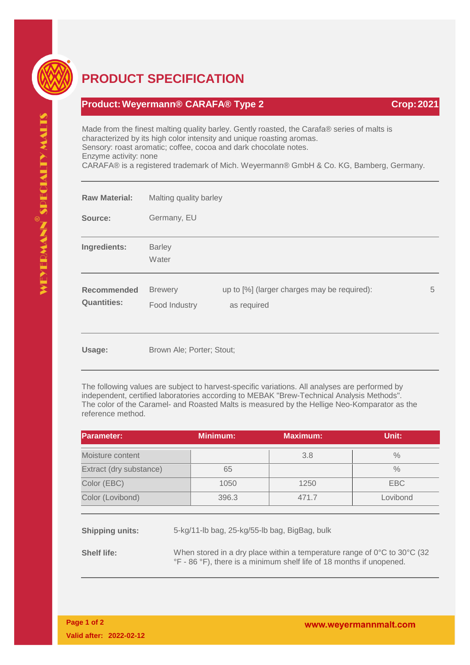

## **PRODUCT SPECIFICATION**

## **Product:Weyermann® CARAFA® Type 2 Crop:2021**

Made from the finest malting quality barley. Gently roasted, the Carafa® series of malts is characterized by its high color intensity and unique roasting aromas. Sensory: roast aromatic; coffee, cocoa and dark chocolate notes. Enzyme activity: none

CARAFA® is a registered trademark of Mich. Weyermann® GmbH & Co. KG, Bamberg, Germany.

| <b>Raw Material:</b>                     | Malting quality barley          |                                                            |   |
|------------------------------------------|---------------------------------|------------------------------------------------------------|---|
| Source:                                  | Germany, EU                     |                                                            |   |
| Ingredients:                             | <b>Barley</b><br>Water          |                                                            |   |
| <b>Recommended</b><br><b>Quantities:</b> | <b>Brewery</b><br>Food Industry | up to [%] (larger charges may be required):<br>as required | 5 |
| Usage:                                   | Brown Ale; Porter; Stout;       |                                                            |   |

The following values are subject to harvest-specific variations. All analyses are performed by independent, certified laboratories according to MEBAK "Brew-Technical Analysis Methods". The color of the Caramel- and Roasted Malts is measured by the Hellige Neo-Komparator as the reference method.

| Parameter:              | <b>Minimum:</b> | <b>Maximum:</b> | Unit:         |
|-------------------------|-----------------|-----------------|---------------|
| Moisture content        |                 | 3.8             | $\frac{0}{0}$ |
| Extract (dry substance) | 65              |                 | $\frac{0}{0}$ |
| Color (EBC)             | 1050            | 1250            | EBC           |
| Color (Lovibond)        | 396.3           | 471.7           | Lovibond      |

**Shipping units:** 5-kg/11-lb bag, 25-kg/55-lb bag, BigBag, bulk

**Shelf life:** When stored in a dry place within a temperature range of 0°C to 30°C (32 °F - 86 °F), there is a minimum shelf life of 18 months if unopened.